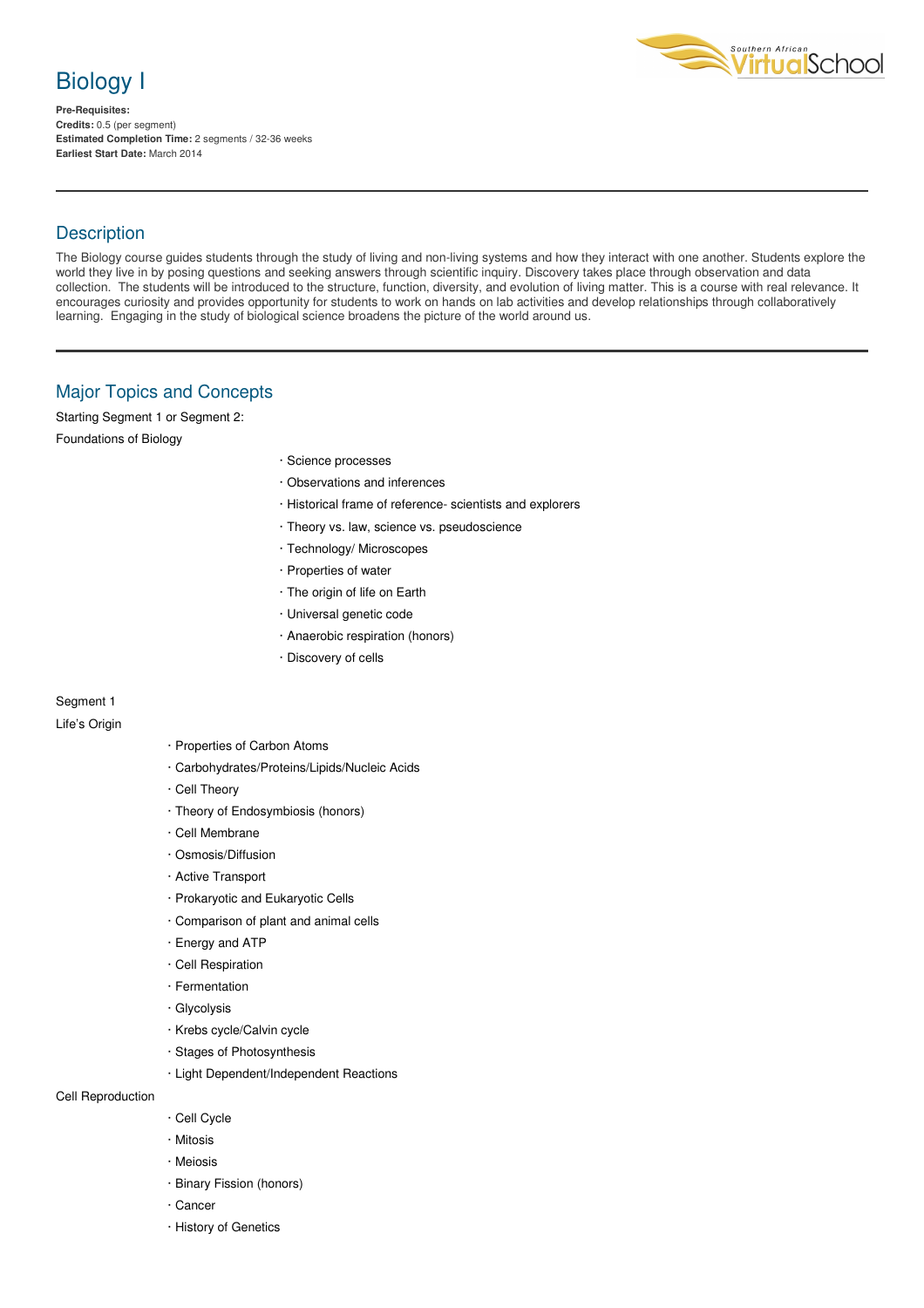

**Pre-Requisites: Credits:** 0.5 (per segment) **Estimated Completion Time:** 2 segments / 32-36 weeks **Earliest Start Date:** March 2014



### **Description**

The Biology course guides students through the study of living and non-living systems and how they interact with one another. Students explore the world they live in by posing questions and seeking answers through scientific inquiry. Discovery takes place through observation and data collection. The students will be introduced to the structure, function, diversity, and evolution of living matter. This is a course with real relevance. It encourages curiosity and provides opportunity for students to work on hands on lab activities and develop relationships through collaboratively learning. Engaging in the study of biological science broadens the picture of the world around us.

## Major Topics and Concepts

Starting Segment 1 or Segment 2:

Foundations of Biology

- · Science processes
- · Observations and inferences
- · Historical frame of reference- scientists and explorers
- · Theory vs. law, science vs. pseudoscience
- · Technology/ Microscopes
- · Properties of water
- · The origin of life on Earth
- · Universal genetic code
- · Anaerobic respiration (honors)
- · Discovery of cells

# Segment 1

Life's Origin

- · Properties of Carbon Atoms
- · Carbohydrates/Proteins/Lipids/Nucleic Acids
- · Cell Theory
- · Theory of Endosymbiosis (honors)
- · Cell Membrane
- · Osmosis/Diffusion
- · Active Transport
- · Prokaryotic and Eukaryotic Cells
- · Comparison of plant and animal cells
- · Energy and ATP
- · Cell Respiration
- · Fermentation
- · Glycolysis
- · Krebs cycle/Calvin cycle
- · Stages of Photosynthesis
- · Light Dependent/Independent Reactions

Cell Reproduction

- · Cell Cycle
- · Mitosis
- · Meiosis
- · Binary Fission (honors)
- · Cancer
- · History of Genetics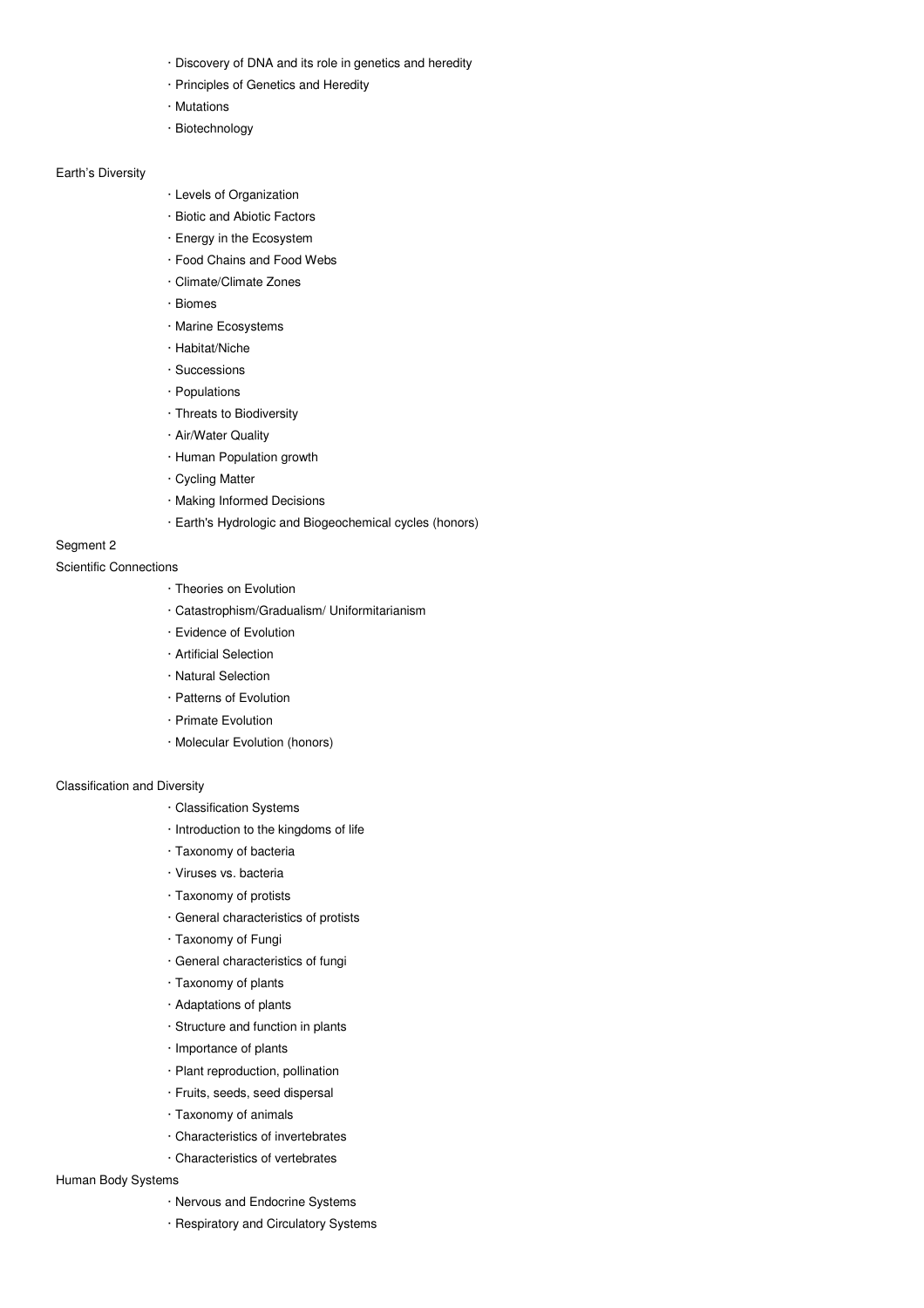- · Discovery of DNA and its role in genetics and heredity
- · Principles of Genetics and Heredity
- · Mutations
- · Biotechnology

#### Earth's Diversity

- · Levels of Organization
- · Biotic and Abiotic Factors
- · Energy in the Ecosystem
- · Food Chains and Food Webs
- · Climate/Climate Zones
- · Biomes
- · Marine Ecosystems
- · Habitat/Niche
- · Successions
- · Populations
- · Threats to Biodiversity
- · Air/Water Quality
- · Human Population growth
- · Cycling Matter
- · Making Informed Decisions
- · Earth's Hydrologic and Biogeochemical cycles (honors)

### Segment 2

#### Scientific Connections

- · Theories on Evolution
- · Catastrophism/Gradualism/ Uniformitarianism
- · Evidence of Evolution
- · Artificial Selection
- · Natural Selection
- · Patterns of Evolution
- · Primate Evolution
- · Molecular Evolution (honors)

### Classification and Diversity

- · Classification Systems
- · Introduction to the kingdoms of life
- · Taxonomy of bacteria
- · Viruses vs. bacteria
- · Taxonomy of protists
- · General characteristics of protists
- · Taxonomy of Fungi
- · General characteristics of fungi
- · Taxonomy of plants
- · Adaptations of plants
- · Structure and function in plants
- · Importance of plants
- · Plant reproduction, pollination
- · Fruits, seeds, seed dispersal
- · Taxonomy of animals
- · Characteristics of invertebrates
- · Characteristics of vertebrates

#### Human Body Systems

- · Nervous and Endocrine Systems
- · Respiratory and Circulatory Systems